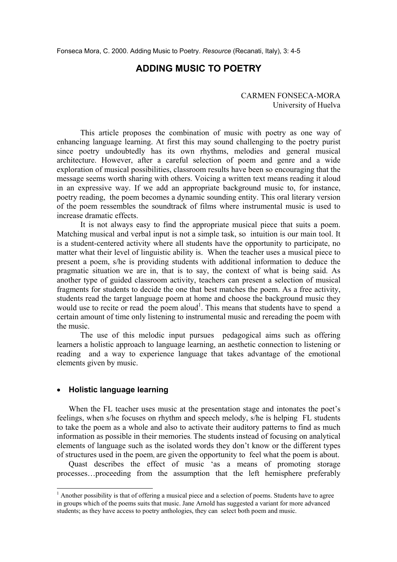# **ADDING MUSIC TO POETRY**

CARMEN FONSECA-MORA University of Huelva

 This article proposes the combination of music with poetry as one way of enhancing language learning. At first this may sound challenging to the poetry purist since poetry undoubtedly has its own rhythms, melodies and general musical architecture. However, after a careful selection of poem and genre and a wide exploration of musical possibilities, classroom results have been so encouraging that the message seems worth sharing with others. Voicing a written text means reading it aloud in an expressive way. If we add an appropriate background music to, for instance, poetry reading, the poem becomes a dynamic sounding entity. This oral literary version of the poem ressembles the soundtrack of films where instrumental music is used to increase dramatic effects.

 It is not always easy to find the appropriate musical piece that suits a poem. Matching musical and verbal input is not a simple task, so intuition is our main tool. It is a student-centered activity where all students have the opportunity to participate, no matter what their level of linguistic ability is. When the teacher uses a musical piece to present a poem, s/he is providing students with additional information to deduce the pragmatic situation we are in, that is to say, the context of what is being said. As another type of guided classroom activity, teachers can present a selection of musical fragments for students to decide the one that best matches the poem. As a free activity, students read the target language poem at home and choose the background music they would use to recite or read the poem aloud<sup>1</sup>. This means that students have to spend a certain amount of time only listening to instrumental music and rereading the poem with the music.

 The use of this melodic input pursues pedagogical aims such as offering learners a holistic approach to language learning, an aesthetic connection to listening or reading and a way to experience language that takes advantage of the emotional elements given by music.

#### • **Holistic language learning**

l

When the FL teacher uses music at the presentation stage and intonates the poet's feelings, when s/he focuses on rhythm and speech melody, s/he is helping FL students to take the poem as a whole and also to activate their auditory patterns to find as much information as possible in their memories. The students instead of focusing on analytical elements of language such as the isolated words they don't know or the different types of structures used in the poem, are given the opportunity to feel what the poem is about.

Quast describes the effect of music 'as a means of promoting storage processes…proceeding from the assumption that the left hemisphere preferably

<sup>&</sup>lt;sup>1</sup> Another possibility is that of offering a musical piece and a selection of poems. Students have to agree in groups which of the poems suits that music. Jane Arnold has suggested a variant for more advanced students; as they have access to poetry anthologies, they can select both poem and music.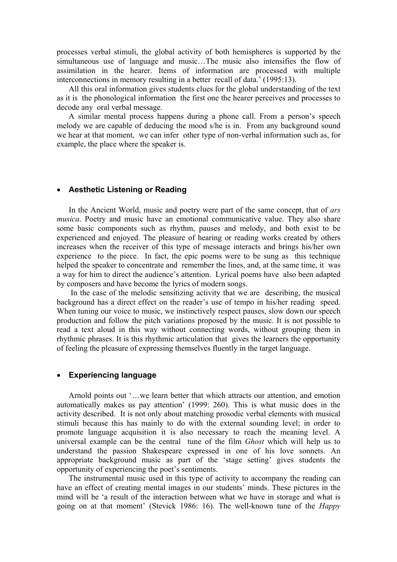processes verbal stimuli, the global activity of both hemispheres is supported by the simultaneous use of language and music…The music also intensifies the flow of assimilation in the hearer. Items of information are processed with multiple interconnections in memory resulting in a better recall of data.' (1995:13).

All this oral information gives students clues for the global understanding of the text as it is the phonological information the first one the hearer perceives and processes to decode any oral verbal message.

A similar mental process happens during a phone call. From a person's speech melody we are capable of deducing the mood s/he is in. From any background sound we hear at that moment, we can infer other type of non-verbal information such as, for example, the place where the speaker is.

### • **Aesthetic Listening or Reading**

In the Ancient World, music and poetry were part of the same concept, that of *ars musica*. Poetry and music have an emotional communicative value. They also share some basic components such as rhythm, pauses and melody, and both exist to be experienced and enjoyed. The pleasure of hearing or reading works created by others increases when the receiver of this type of message interacts and brings his/her own experience to the piece. In fact, the epic poems were to be sung as this technique helped the speaker to concentrate and remember the lines, and, at the same time, it was a way for him to direct the audience's attention. Lyrical poems have also been adapted by composers and have become the lyrics of modern songs.

 In the case of the melodic sensitizing activity that we are describing, the musical background has a direct effect on the reader's use of tempo in his/her reading speed. When tuning our voice to music, we instinctively respect pauses, slow down our speech production and follow the pitch variations proposed by the music. It is not possible to read a text aloud in this way without connecting words, without grouping them in rhythmic phrases. It is this rhythmic articulation that gives the learners the opportunity of feeling the pleasure of expressing themselves fluently in the target language.

#### • **Experiencing language**

Arnold points out '…we learn better that which attracts our attention, and emotion automatically makes us pay attention' (1999: 260). This is what music does in the activity described. It is not only about matching prosodic verbal elements with musical stimuli because this has mainly to do with the external sounding level; in order to promote language acquisition it is also necessary to reach the meaning level. A universal example can be the central tune of the film *Ghost* which will help us to understand the passion Shakespeare expressed in one of his love sonnets. An appropriate background music as part of the 'stage setting' gives students the opportunity of experiencing the poet's sentiments.

The instrumental music used in this type of activity to accompany the reading can have an effect of creating mental images in our students' minds. These pictures in the mind will be 'a result of the interaction between what we have in storage and what is going on at that moment' (Stevick 1986: 16). The well-known tune of the *Happy*